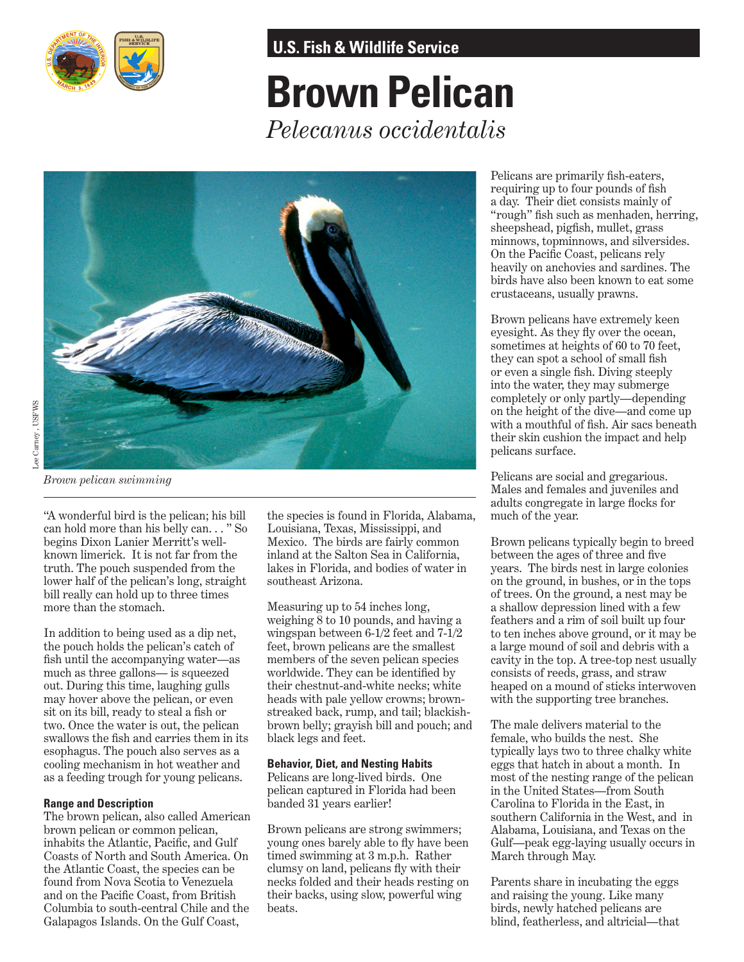

**U.S. Fish & Wildlife Service**

# **Brown Pelican** *Pelecanus occidentalis*



*Brown pelican swimming*

"A wonderful bird is the pelican; his bill can hold more than his belly can. . . " So begins Dixon Lanier Merritt's wellknown limerick. It is not far from the truth. The pouch suspended from the lower half of the pelican's long, straight bill really can hold up to three times more than the stomach.

In addition to being used as a dip net, the pouch holds the pelican's catch of fish until the accompanying water—as much as three gallons— is squeezed out. During this time, laughing gulls may hover above the pelican, or even sit on its bill, ready to steal a fish or two. Once the water is out, the pelican swallows the fish and carries them in its esophagus. The pouch also serves as a cooling mechanism in hot weather and as a feeding trough for young pelicans.

### **Range and Description**

The brown pelican, also called American brown pelican or common pelican, inhabits the Atlantic, Pacific, and Gulf Coasts of North and South America. On the Atlantic Coast, the species can be found from Nova Scotia to Venezuela and on the Pacific Coast, from British Columbia to south-central Chile and the Galapagos Islands. On the Gulf Coast,

the species is found in Florida, Alabama, Louisiana, Texas, Mississippi, and Mexico. The birds are fairly common inland at the Salton Sea in California, lakes in Florida, and bodies of water in southeast Arizona.

Measuring up to 54 inches long, weighing  $\bar{8}$  to 10 pounds, and having a wingspan between 6-1/2 feet and 7-1/2 feet, brown pelicans are the smallest members of the seven pelican species worldwide. They can be identified by their chestnut-and-white necks; white heads with pale yellow crowns; brownstreaked back, rump, and tail; blackishbrown belly; grayish bill and pouch; and black legs and feet.

#### **Behavior, Diet, and Nesting Habits**

Pelicans are long-lived birds. One pelican captured in Florida had been banded 31 years earlier!

Brown pelicans are strong swimmers; young ones barely able to fly have been timed swimming at 3 m.p.h. Rather clumsy on land, pelicans fly with their necks folded and their heads resting on their backs, using slow, powerful wing beats.

Pelicans are primarily fish-eaters, requiring up to four pounds of fish a day. Their diet consists mainly of "rough" fish such as menhaden, herring, sheepshead, pigfish, mullet, grass minnows, topminnows, and silversides. On the Pacific Coast, pelicans rely heavily on anchovies and sardines. The birds have also been known to eat some crustaceans, usually prawns.

Brown pelicans have extremely keen eyesight. As they fly over the ocean, sometimes at heights of 60 to 70 feet, they can spot a school of small fish or even a single fish. Diving steeply into the water, they may submerge completely or only partly—depending on the height of the dive—and come up with a mouthful of fish. Air sacs beneath their skin cushion the impact and help pelicans surface.

Pelicans are social and gregarious. Males and females and juveniles and adults congregate in large flocks for much of the year.

Brown pelicans typically begin to breed between the ages of three and five years. The birds nest in large colonies on the ground, in bushes, or in the tops of trees. On the ground, a nest may be a shallow depression lined with a few feathers and a rim of soil built up four to ten inches above ground, or it may be a large mound of soil and debris with a cavity in the top. A tree-top nest usually consists of reeds, grass, and straw heaped on a mound of sticks interwoven with the supporting tree branches.

The male delivers material to the female, who builds the nest. She typically lays two to three chalky white eggs that hatch in about a month. In most of the nesting range of the pelican in the United States—from South Carolina to Florida in the East, in southern California in the West, and in Alabama, Louisiana, and Texas on the Gulf—peak egg-laying usually occurs in March through May.

blind, featherless, and altricial—that Parents share in incubating the eggs and raising the young. Like many birds, newly hatched pelicans are